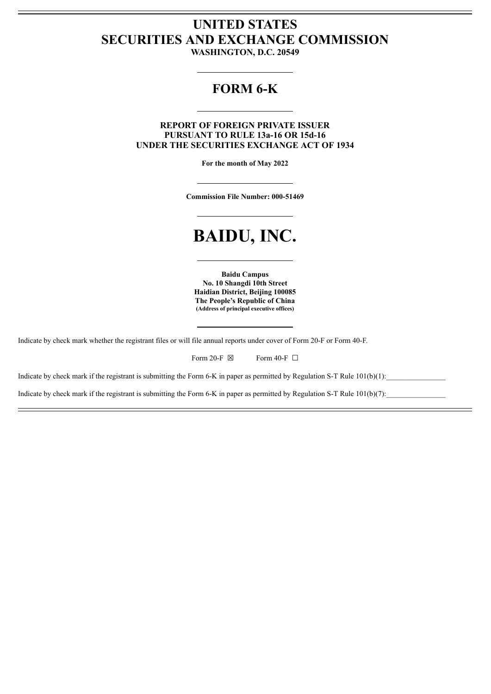## **UNITED STATES SECURITIES AND EXCHANGE COMMISSION**

**WASHINGTON, D.C. 20549**

### **FORM 6-K**

### **REPORT OF FOREIGN PRIVATE ISSUER PURSUANT TO RULE 13a-16 OR 15d-16 UNDER THE SECURITIES EXCHANGE ACT OF 1934**

**For the month of May 2022**

**Commission File Number: 000-51469**

# **BAIDU, INC.**

**Baidu Campus No. 10 Shangdi 10th Street Haidian District, Beijing 100085 The People's Republic of China (Address of principal executive offices)**

Indicate by check mark whether the registrant files or will file annual reports under cover of Form 20-F or Form 40-F.

| Form 20-F $\boxtimes$ |  | Form 40-F $\Box$ |  |
|-----------------------|--|------------------|--|
|-----------------------|--|------------------|--|

Indicate by check mark if the registrant is submitting the Form 6-K in paper as permitted by Regulation S-T Rule  $101(b)(1)$ :

Indicate by check mark if the registrant is submitting the Form 6-K in paper as permitted by Regulation S-T Rule  $101(b)(7)$ :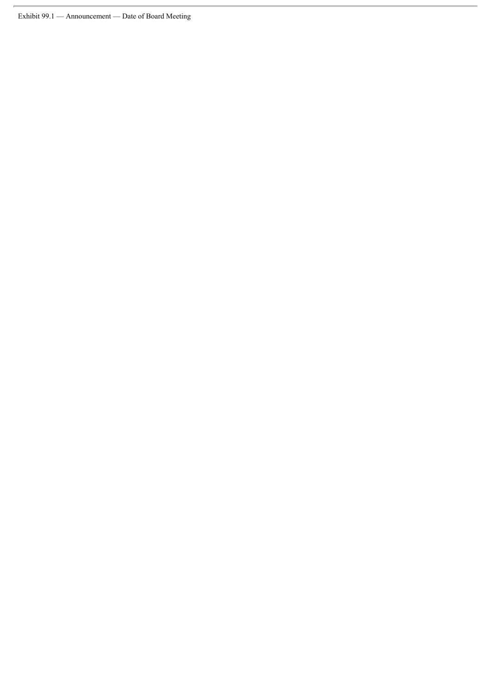Exhibit 99.1 — Announcement — Date of Board Meeting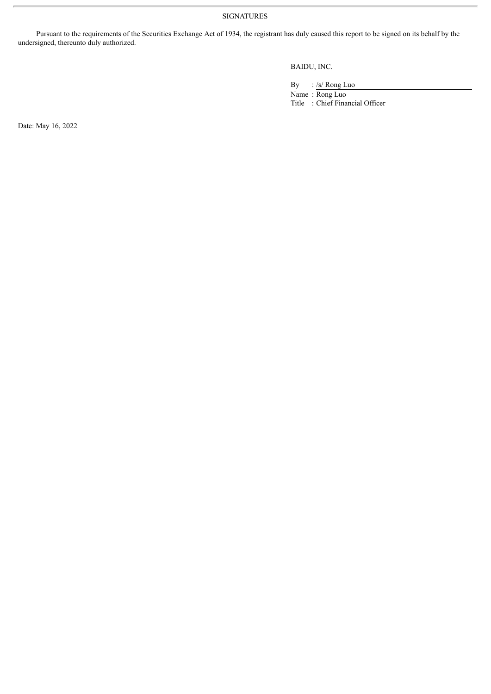SIGNATURES

Pursuant to the requirements of the Securities Exchange Act of 1934, the registrant has duly caused this report to be signed on its behalf by the undersigned, thereunto duly authorized.

BAIDU, INC.

By : /s/ Rong Luo

Name : Rong Luo Title : Chief Financial Officer

Date: May 16, 2022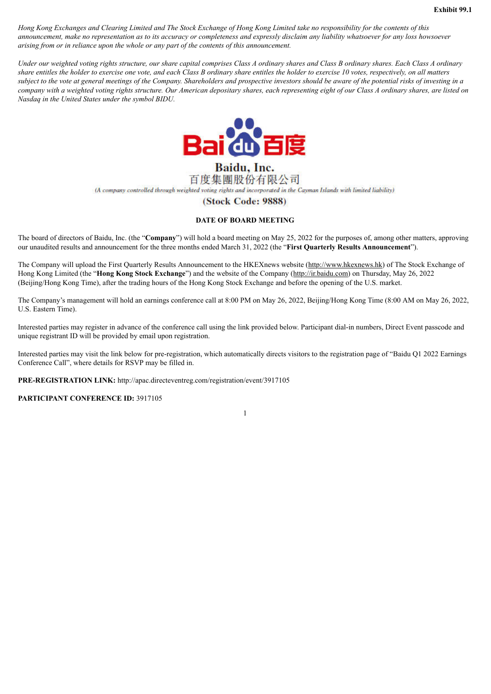Hong Kong Exchanges and Clearing Limited and The Stock Exchange of Hong Kong Limited take no responsibility for the contents of this announcement, make no representation as to its accuracy or completeness and expressly disclaim any liability whatsoever for any loss howsoever *arising from or in reliance upon the whole or any part of the contents of this announcement.*

Under our weighted voting rights structure, our share capital comprises Class A ordinary shares and Class B ordinary shares. Each Class A ordinary share entitles the holder to exercise one vote, and each Class B ordinary share entitles the holder to exercise 10 votes, respectively, on all matters subject to the vote at general meetings of the Company. Shareholders and prospective investors should be aware of the potential risks of investing in a company with a weighted voting rights structure. Our American depositary shares, each representing eight of our Class A ordinary shares, are listed on *Nasdaq in the United States under the symbol BIDU.*



Baidu, Inc. 百度集團股份有限公司 (A company controlled through weighted voting rights and incorporated in the Cayman Islands with limited liability)

### (Stock Code: 9888)

### **DATE OF BOARD MEETING**

The board of directors of Baidu, Inc. (the "**Company**") will hold a board meeting on May 25, 2022 for the purposes of, among other matters, approving our unaudited results and announcement for the three months ended March 31, 2022 (the "**First Quarterly Results Announcement**").

The Company will upload the First Quarterly Results Announcement to the HKEXnews website (http://www.hkexnews.hk) of The Stock Exchange of Hong Kong Limited (the "**Hong Kong Stock Exchange**") and the website of the Company (http://ir.baidu.com) on Thursday, May 26, 2022 (Beijing/Hong Kong Time), after the trading hours of the Hong Kong Stock Exchange and before the opening of the U.S. market.

The Company's management will hold an earnings conference call at 8:00 PM on May 26, 2022, Beijing/Hong Kong Time (8:00 AM on May 26, 2022, U.S. Eastern Time).

Interested parties may register in advance of the conference call using the link provided below. Participant dial-in numbers, Direct Event passcode and unique registrant ID will be provided by email upon registration.

Interested parties may visit the link below for pre-registration, which automatically directs visitors to the registration page of "Baidu Q1 2022 Earnings Conference Call", where details for RSVP may be filled in.

1

**PRE-REGISTRATION LINK:** http://apac.directeventreg.com/registration/event/3917105

#### **PARTICIPANT CONFERENCE ID:** 3917105